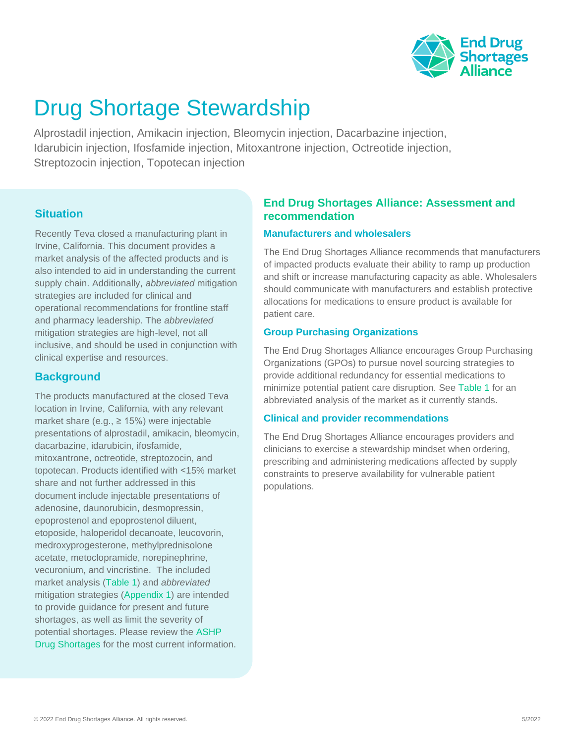

# Drug Shortage Stewardship

Alprostadil injection, Amikacin injection, Bleomycin injection, Dacarbazine injection, Idarubicin injection, Ifosfamide injection, Mitoxantrone injection, Octreotide injection, Streptozocin injection, Topotecan injection

# **Situation**

Recently Teva closed a manufacturing plant in Irvine, California. This document provides a market analysis of the affected products and is also intended to aid in understanding the current supply chain. Additionally, *abbreviated* mitigation strategies are included for clinical and operational recommendations for frontline staff and pharmacy leadership. The *abbreviated*  mitigation strategies are high-level, not all inclusive, and should be used in conjunction with clinical expertise and resources.

# **Background**

<span id="page-0-0"></span>The products manufactured at the closed Teva location in Irvine, California, with any relevant market share (e.g.,  $\geq$  15%) were injectable presentations of alprostadil, amikacin, bleomycin, dacarbazine, idarubicin, ifosfamide, mitoxantrone, octreotide, streptozocin, and topotecan. Products identified with ˂15% market share and not further addressed in this document include injectable presentations of adenosine, daunorubicin, desmopressin, epoprostenol and epoprostenol diluent, etoposide, haloperidol decanoate, leucovorin, medroxyprogesterone, methylprednisolone acetate, metoclopramide, norepinephrine, vecuronium, and vincristine. The included market analysis [\(Table](#page-0-0) 1) and *abbreviated*  mitigation strategies [\(Appendix](#page-1-0) 1) are intended to provide guidance for present and future shortages, as well as limit the severity of potential shortages. Please review the [ASHP](https://www.ashp.org/drug-shortages/current-shortages)  [Drug Shortages](https://www.ashp.org/drug-shortages/current-shortages) for the most current information.

# **End Drug Shortages Alliance: Assessment and recommendation**

# **Manufacturers and wholesalers**

The End Drug Shortages Alliance recommends that manufacturers of impacted products evaluate their ability to ramp up production and shift or increase manufacturing capacity as able. Wholesalers should communicate with manufacturers and establish protective allocations for medications to ensure product is available for patient care.

# **Group Purchasing Organizations**

The End Drug Shortages Alliance encourages Group Purchasing Organizations (GPOs) to pursue novel sourcing strategies to provide additional redundancy for essential medications to minimize potential patient care disruption. See [Table 1](#page-0-0) for an abbreviated analysis of the market as it currently stands.

# **Clinical and provider recommendations**

The End Drug Shortages Alliance encourages providers and clinicians to exercise a stewardship mindset when ordering, prescribing and administering medications affected by supply constraints to preserve availability for vulnerable patient populations.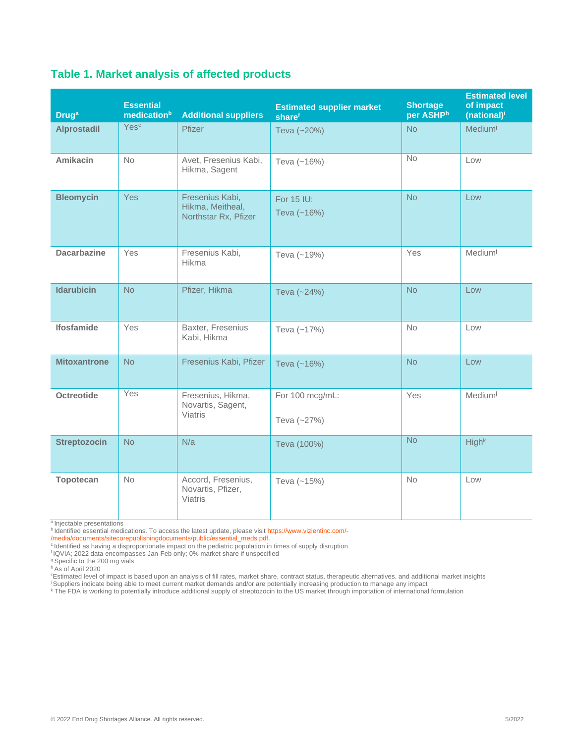| <b>Druga</b>        | <b>Essential</b><br>medicationb | <b>Additional suppliers</b>                                 | <b>Estimated supplier market</b><br>sharef | <b>Shortage</b><br>per ASHPh | <b>Estimated level</b><br>of impact<br>(national) <sup>i</sup> |
|---------------------|---------------------------------|-------------------------------------------------------------|--------------------------------------------|------------------------------|----------------------------------------------------------------|
| <b>Alprostadil</b>  | Yesc                            | Pfizer                                                      | Teva (~20%)                                | <b>No</b>                    | Mediumi                                                        |
| <b>Amikacin</b>     | <b>No</b>                       | Avet, Fresenius Kabi,<br>Hikma, Sagent                      | Teva (~16%)                                | <b>No</b>                    | Low                                                            |
| <b>Bleomycin</b>    | Yes                             | Fresenius Kabi,<br>Hikma, Meitheal,<br>Northstar Rx, Pfizer | For 15 IU:<br>Teva (~16%)                  | <b>No</b>                    | Low                                                            |
| <b>Dacarbazine</b>  | Yes                             | Fresenius Kabi,<br>Hikma                                    | Teva (~19%)                                | Yes                          | Mediumi                                                        |
| <b>Idarubicin</b>   | <b>No</b>                       | Pfizer, Hikma                                               | Teva (~24%)                                | <b>No</b>                    | Low                                                            |
| <b>Ifosfamide</b>   | Yes                             | Baxter, Fresenius<br>Kabi, Hikma                            | Teva $(-17%)$                              | <b>No</b>                    | Low                                                            |
| <b>Mitoxantrone</b> | <b>No</b>                       | Fresenius Kabi, Pfizer                                      | Teva (~16%)                                | <b>No</b>                    | Low                                                            |
| <b>Octreotide</b>   | Yes                             | Fresenius, Hikma,<br>Novartis, Sagent,<br><b>Viatris</b>    | For 100 mcg/mL:<br>Teva (~27%)             | Yes                          | Mediumi                                                        |
| <b>Streptozocin</b> | <b>No</b>                       | N/a                                                         | Teva (100%)                                | <b>No</b>                    | High <sup>k</sup>                                              |
| <b>Topotecan</b>    | <b>No</b>                       | Accord, Fresenius,<br>Novartis, Pfizer,<br>Viatris          | Teva (~15%)                                | <b>No</b>                    | Low                                                            |

# **[Table 1.](#page-0-0) Market analysis of affected products**

a Injectable presentations

<sup>b</sup> Identified essential medications. To access the latest update, please visit [https://www.vizientinc.com/-](https://www.vizientinc.com/-/media/documents/sitecorepublishingdocuments/public/essential_meds.pdf)

[/media/documents/sitecorepublishingdocuments/public/essential\\_meds.pdf.](https://www.vizientinc.com/-/media/documents/sitecorepublishingdocuments/public/essential_meds.pdf) 

c Identified as having a disproportionate impact on the pediatric population in times of supply disruption f IQVIA; 2022 data encompasses Jan-Feb only; 0% market share if unspecified

<sup>g</sup> Specific to the 200 mg vials

<sup>h</sup> As of April 2020

<sup>i</sup> Estimated level of impact is based upon an analysis of fill rates, market share, contract status, therapeutic alternatives, and additional market insights

<sup>j</sup> Suppliers indicate being able to meet current market demands and/or are potentially increasing production to manage any impact

<span id="page-1-0"></span><sup>k</sup> The FDA is working to potentially introduce additional supply of streptozocin to the US market through importation of international formulation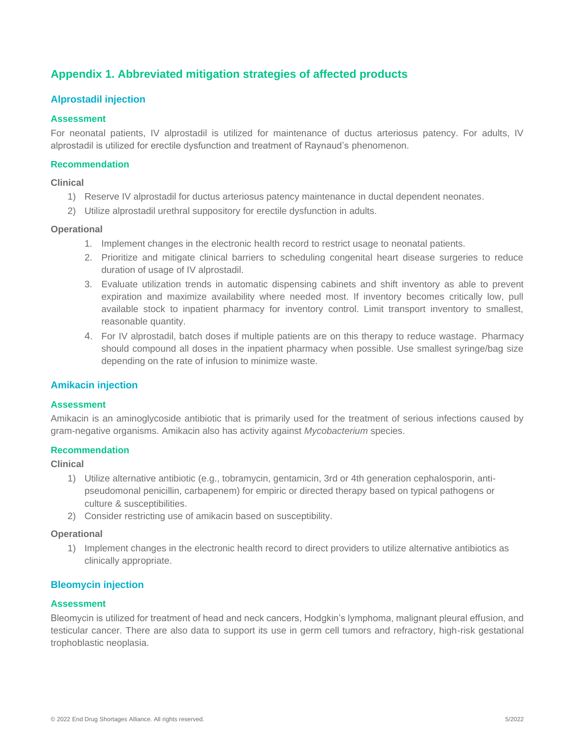# **Appendix 1. Abbreviated mitigation strategies of affected products**

# **Alprostadil injection**

# **Assessment**

For neonatal patients, IV alprostadil is utilized for maintenance of ductus arteriosus patency. For adults, IV alprostadil is utilized for erectile dysfunction and treatment of Raynaud's phenomenon.

#### **Recommendation**

**Clinical**

- 1) Reserve IV alprostadil for ductus arteriosus patency maintenance in ductal dependent neonates.
- 2) Utilize alprostadil urethral suppository for erectile dysfunction in adults.

## **Operational**

- 1. Implement changes in the electronic health record to restrict usage to neonatal patients.
- 2. Prioritize and mitigate clinical barriers to scheduling congenital heart disease surgeries to reduce duration of usage of IV alprostadil.
- 3. Evaluate utilization trends in automatic dispensing cabinets and shift inventory as able to prevent expiration and maximize availability where needed most. If inventory becomes critically low, pull available stock to inpatient pharmacy for inventory control. Limit transport inventory to smallest, reasonable quantity.
- 4. For IV alprostadil, batch doses if multiple patients are on this therapy to reduce wastage. Pharmacy should compound all doses in the inpatient pharmacy when possible. Use smallest syringe/bag size depending on the rate of infusion to minimize waste.

# **Amikacin injection**

#### **Assessment**

Amikacin is an aminoglycoside antibiotic that is primarily used for the treatment of serious infections caused by gram-negative organisms. Amikacin also has activity against *Mycobacterium* species.

#### **Recommendation**

### **Clinical**

- 1) Utilize alternative antibiotic (e.g., tobramycin, gentamicin, 3rd or 4th generation cephalosporin, antipseudomonal penicillin, carbapenem) for empiric or directed therapy based on typical pathogens or culture & susceptibilities.
- 2) Consider restricting use of amikacin based on susceptibility.

#### **Operational**

1) Implement changes in the electronic health record to direct providers to utilize alternative antibiotics as clinically appropriate.

#### **Bleomycin injection**

#### **Assessment**

Bleomycin is utilized for treatment of head and neck cancers, Hodgkin's lymphoma, malignant pleural effusion, and testicular cancer. There are also data to support its use in germ cell tumors and refractory, high-risk gestational trophoblastic neoplasia.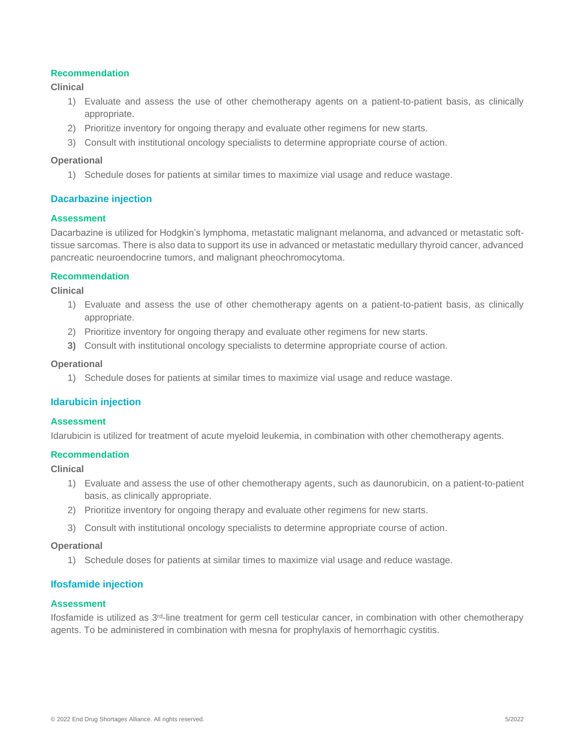## **Recommendation**

## **Clinical**

- 1) Evaluate and assess the use of other chemotherapy agents on a patient-to-patient basis, as clinically appropriate.
- 2) Prioritize inventory for ongoing therapy and evaluate other regimens for new starts.
- 3) Consult with institutional oncology specialists to determine appropriate course of action.

#### **Operational**

1) Schedule doses for patients at similar times to maximize vial usage and reduce wastage.

# **Dacarbazine injection**

#### **Assessment**

Dacarbazine is utilized for Hodgkin's lymphoma, metastatic malignant melanoma, and advanced or metastatic softtissue sarcomas. There is also data to support its use in advanced or metastatic medullary thyroid cancer, advanced pancreatic neuroendocrine tumors, and malignant pheochromocytoma.

#### **Recommendation**

**Clinical**

- 1) Evaluate and assess the use of other chemotherapy agents on a patient-to-patient basis, as clinically appropriate.
- 2) Prioritize inventory for ongoing therapy and evaluate other regimens for new starts.
- **3)** Consult with institutional oncology specialists to determine appropriate course of action.

#### **Operational**

1) Schedule doses for patients at similar times to maximize vial usage and reduce wastage.

## **Idarubicin injection**

#### **Assessment**

Idarubicin is utilized for treatment of acute myeloid leukemia, in combination with other chemotherapy agents.

## **Recommendation**

#### **Clinical**

- 1) Evaluate and assess the use of other chemotherapy agents, such as daunorubicin, on a patient-to-patient basis, as clinically appropriate.
- 2) Prioritize inventory for ongoing therapy and evaluate other regimens for new starts.
- 3) Consult with institutional oncology specialists to determine appropriate course of action.

#### **Operational**

1) Schedule doses for patients at similar times to maximize vial usage and reduce wastage.

#### **Ifosfamide injection**

#### **Assessment**

Ifosfamide is utilized as 3rd-line treatment for germ cell testicular cancer, in combination with other chemotherapy agents. To be administered in combination with mesna for prophylaxis of hemorrhagic cystitis.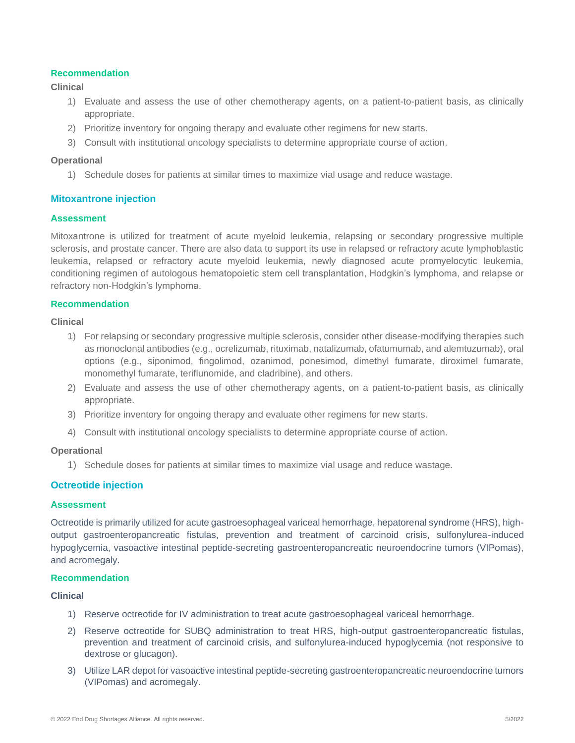## **Recommendation**

## **Clinical**

- 1) Evaluate and assess the use of other chemotherapy agents, on a patient-to-patient basis, as clinically appropriate.
- 2) Prioritize inventory for ongoing therapy and evaluate other regimens for new starts.
- 3) Consult with institutional oncology specialists to determine appropriate course of action.

#### **Operational**

1) Schedule doses for patients at similar times to maximize vial usage and reduce wastage.

# **Mitoxantrone injection**

#### **Assessment**

Mitoxantrone is utilized for treatment of acute myeloid leukemia, relapsing or secondary progressive multiple sclerosis, and prostate cancer. There are also data to support its use in relapsed or refractory acute lymphoblastic leukemia, relapsed or refractory acute myeloid leukemia, newly diagnosed acute promyelocytic leukemia, conditioning regimen of autologous hematopoietic stem cell transplantation, Hodgkin's lymphoma, and relapse or refractory non-Hodgkin's lymphoma.

#### **Recommendation**

#### **Clinical**

- 1) For relapsing or secondary progressive multiple sclerosis, consider other disease-modifying therapies such as monoclonal antibodies (e.g., ocrelizumab, rituximab, natalizumab, ofatumumab, and alemtuzumab), oral options (e.g., siponimod, fingolimod, ozanimod, ponesimod, dimethyl fumarate, diroximel fumarate, monomethyl fumarate, teriflunomide, and cladribine), and others.
- 2) Evaluate and assess the use of other chemotherapy agents, on a patient-to-patient basis, as clinically appropriate.
- 3) Prioritize inventory for ongoing therapy and evaluate other regimens for new starts.
- 4) Consult with institutional oncology specialists to determine appropriate course of action.

#### **Operational**

1) Schedule doses for patients at similar times to maximize vial usage and reduce wastage.

# **Octreotide injection**

#### **Assessment**

Octreotide is primarily utilized for acute gastroesophageal variceal hemorrhage, hepatorenal syndrome (HRS), highoutput gastroenteropancreatic fistulas, prevention and treatment of carcinoid crisis, sulfonylurea-induced hypoglycemia, vasoactive intestinal peptide-secreting gastroenteropancreatic neuroendocrine tumors (VIPomas), and acromegaly.

#### **Recommendation**

#### **Clinical**

- 1) Reserve octreotide for IV administration to treat acute gastroesophageal variceal hemorrhage.
- 2) Reserve octreotide for SUBQ administration to treat HRS, high-output gastroenteropancreatic fistulas, prevention and treatment of carcinoid crisis, and sulfonylurea-induced hypoglycemia (not responsive to dextrose or glucagon).
- 3) Utilize LAR depot for vasoactive intestinal peptide-secreting gastroenteropancreatic neuroendocrine tumors (VIPomas) and acromegaly.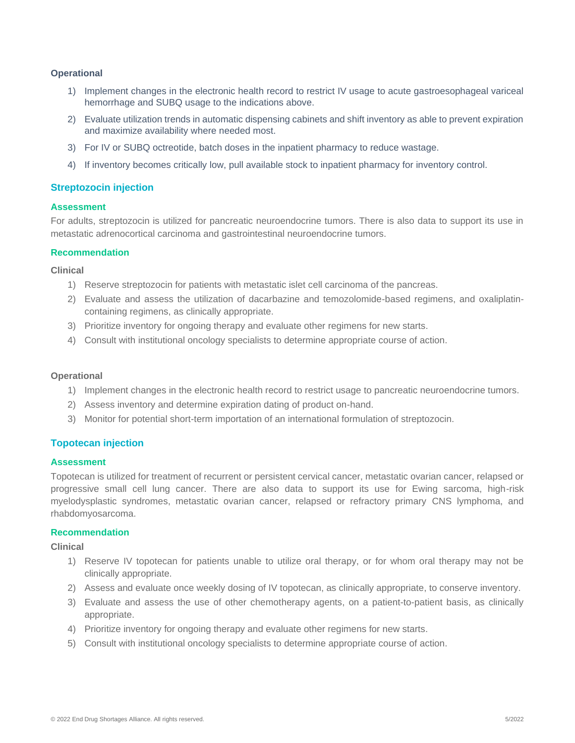#### **Operational**

- 1) Implement changes in the electronic health record to restrict IV usage to acute gastroesophageal variceal hemorrhage and SUBQ usage to the indications above.
- 2) Evaluate utilization trends in automatic dispensing cabinets and shift inventory as able to prevent expiration and maximize availability where needed most.
- 3) For IV or SUBQ octreotide, batch doses in the inpatient pharmacy to reduce wastage.
- 4) If inventory becomes critically low, pull available stock to inpatient pharmacy for inventory control.

#### **Streptozocin injection**

## **Assessment**

For adults, streptozocin is utilized for pancreatic neuroendocrine tumors. There is also data to support its use in metastatic adrenocortical carcinoma and gastrointestinal neuroendocrine tumors.

#### **Recommendation**

**Clinical** 

- 1) Reserve streptozocin for patients with metastatic islet cell carcinoma of the pancreas.
- 2) Evaluate and assess the utilization of dacarbazine and temozolomide-based regimens, and oxaliplatincontaining regimens, as clinically appropriate.
- 3) Prioritize inventory for ongoing therapy and evaluate other regimens for new starts.
- 4) Consult with institutional oncology specialists to determine appropriate course of action.

#### **Operational**

- 1) Implement changes in the electronic health record to restrict usage to pancreatic neuroendocrine tumors.
- 2) Assess inventory and determine expiration dating of product on-hand.
- 3) Monitor for potential short-term importation of an international formulation of streptozocin.

#### **Topotecan injection**

#### **Assessment**

Topotecan is utilized for treatment of recurrent or persistent cervical cancer, metastatic ovarian cancer, relapsed or progressive small cell lung cancer. There are also data to support its use for Ewing sarcoma, high-risk myelodysplastic syndromes, metastatic ovarian cancer, relapsed or refractory primary CNS lymphoma, and rhabdomyosarcoma.

#### **Recommendation**

**Clinical**

- 1) Reserve IV topotecan for patients unable to utilize oral therapy, or for whom oral therapy may not be clinically appropriate.
- 2) Assess and evaluate once weekly dosing of IV topotecan, as clinically appropriate, to conserve inventory.
- 3) Evaluate and assess the use of other chemotherapy agents, on a patient-to-patient basis, as clinically appropriate.
- 4) Prioritize inventory for ongoing therapy and evaluate other regimens for new starts.
- 5) Consult with institutional oncology specialists to determine appropriate course of action.